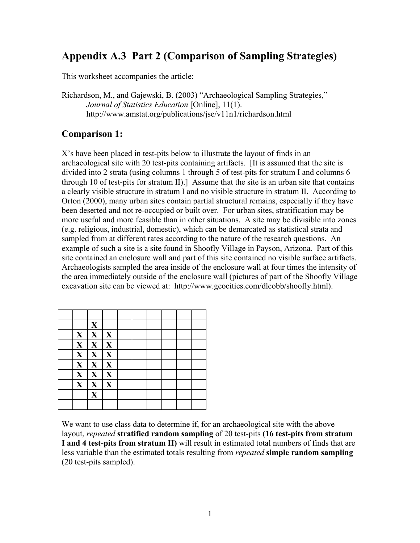# **Appendix A.3 Part 2 (Comparison of Sampling Strategies)**

This worksheet accompanies the article:

Richardson, M., and Gajewski, B. (2003) "Archaeological Sampling Strategies," *Journal of Statistics Education* [Online], 11(1). http://www.amstat.org/publications/jse/v11n1/richardson.html

### **Comparison 1:**

X's have been placed in test-pits below to illustrate the layout of finds in an archaeological site with 20 test-pits containing artifacts. [It is assumed that the site is divided into 2 strata (using columns 1 through 5 of test-pits for stratum I and columns 6 through 10 of test-pits for stratum II).] Assume that the site is an urban site that contains a clearly visible structure in stratum I and no visible structure in stratum II. According to Orton (2000), many urban sites contain partial structural remains, especially if they have been deserted and not re-occupied or built over. For urban sites, stratification may be more useful and more feasible than in other situations. A site may be divisible into zones (e.g. religious, industrial, domestic), which can be demarcated as statistical strata and sampled from at different rates according to the nature of the research questions. An example of such a site is a site found in Shoofly Village in Payson, Arizona. Part of this site contained an enclosure wall and part of this site contained no visible surface artifacts. Archaeologists sampled the area inside of the enclosure wall at four times the intensity of the area immediately outside of the enclosure wall (pictures of part of the Shoofly Village excavation site can be viewed at: http://www.geocities.com/dlcobb/shoofly.html).

|              | $\mathbf{X}$            |              |  |  |  |
|--------------|-------------------------|--------------|--|--|--|
| $\mathbf X$  | $\mathbf{X}$            | X            |  |  |  |
| $\mathbf{X}$ | $\mathbf{X}$            | X            |  |  |  |
| $\mathbf X$  | $\mathbf{X}$            | X            |  |  |  |
| $\mathbf{X}$ | $\mathbf{X}$            | $\mathbf{X}$ |  |  |  |
| $\mathbf{X}$ | $\mathbf{X}$            | X            |  |  |  |
| $\mathbf{X}$ | $\mathbf X$             | X            |  |  |  |
|              | $\overline{\mathbf{X}}$ |              |  |  |  |
|              |                         |              |  |  |  |

We want to use class data to determine if, for an archaeological site with the above layout, *repeated* **stratified random sampling** of 20 test-pits **(16 test-pits from stratum I and 4 test-pits from stratum II)** will result in estimated total numbers of finds that are less variable than the estimated totals resulting from *repeated* **simple random sampling**  (20 test-pits sampled).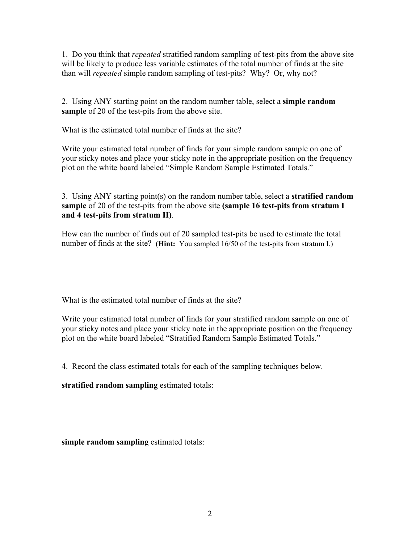1. Do you think that *repeated* stratified random sampling of test-pits from the above site will be likely to produce less variable estimates of the total number of finds at the site than will *repeated* simple random sampling of test-pits? Why? Or, why not?

2. Using ANY starting point on the random number table, select a **simple random sample** of 20 of the test-pits from the above site.

What is the estimated total number of finds at the site?

Write your estimated total number of finds for your simple random sample on one of your sticky notes and place your sticky note in the appropriate position on the frequency plot on the white board labeled "Simple Random Sample Estimated Totals."

3. Using ANY starting point(s) on the random number table, select a **stratified random sample** of 20 of the test-pits from the above site **(sample 16 test-pits from stratum I and 4 test-pits from stratum II)**.

How can the number of finds out of 20 sampled test-pits be used to estimate the total number of finds at the site? (**Hint:** You sampled 16/50 of the test-pits from stratum I.)

What is the estimated total number of finds at the site?

Write your estimated total number of finds for your stratified random sample on one of your sticky notes and place your sticky note in the appropriate position on the frequency plot on the white board labeled "Stratified Random Sample Estimated Totals."

4. Record the class estimated totals for each of the sampling techniques below.

**stratified random sampling** estimated totals:

**simple random sampling** estimated totals: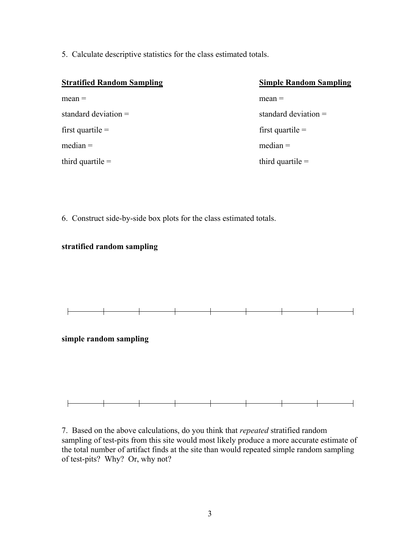5. Calculate descriptive statistics for the class estimated totals.

| <b>Stratified Random Sampling</b> | <b>Simple Random Sampling</b> |  |  |  |  |
|-----------------------------------|-------------------------------|--|--|--|--|
| $mean =$                          | $mean =$                      |  |  |  |  |
| standard deviation $=$            | standard deviation $=$        |  |  |  |  |
| first quartile $=$                | first quartile $=$            |  |  |  |  |
| $median =$                        | $median =$                    |  |  |  |  |
| third quartile $=$                | third quartile $=$            |  |  |  |  |
|                                   |                               |  |  |  |  |

6. Construct side-by-side box plots for the class estimated totals.

#### **stratified random sampling**



#### **simple random sampling**



7. Based on the above calculations, do you think that *repeated* stratified random sampling of test-pits from this site would most likely produce a more accurate estimate of the total number of artifact finds at the site than would repeated simple random sampling of test-pits? Why? Or, why not?